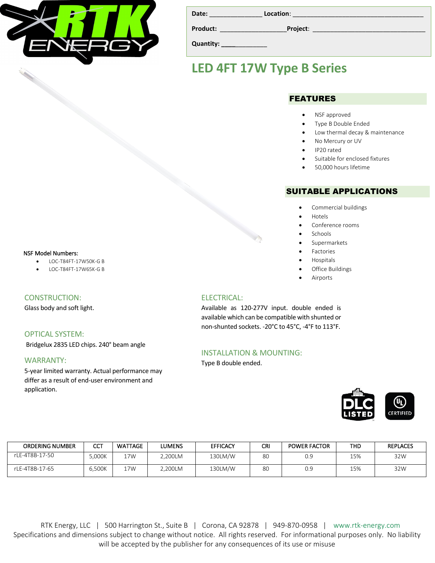

| Date:    | Location: |  |
|----------|-----------|--|
| Product: | Project:  |  |

**Quantity: \_\_\_\_**\_\_\_\_\_\_\_\_\_

## **LED 4FT 17W Type B Series**

### FEATURES

- NSF approved
- Type B Double Ended
- Low thermal decay & maintenance
- No Mercury or UV
- IP20 rated
- Suitable for enclosed fixtures
- 50,000 hours lifetime

### SUITABLE APPLICATIONS

- Commercial buildings
- Hotels
- Conference rooms
- **Schools**
- Supermarkets
- **Factories**
- Hospitals
- Office Buildings
- **Airports**

### ELECTRICAL:

Available as 120-277V input. double ended is available which can be compatible with shunted or non-shunted sockets. -20°C to 45°C, -4°F to 113°F.

### INSTALLATION & MOUNTING:

Type B double ended.



| <b>ORDERING NUMBER</b> | сст    | <b>WATTAGE</b> | <b>LUMENS</b> | <b>EFFICACY</b> | CRI | <b>POWER FACTOR</b> | THD | <b>REPLACES</b> |
|------------------------|--------|----------------|---------------|-----------------|-----|---------------------|-----|-----------------|
| rLE-4T8B-17-50         | .000K  | 17W            | .,200LM       | 130LM/W         | 80  | 0.9                 | 15% | 32W             |
| rLE-4T8B-17-65         | 6.500K | 17W            | 2.200LM       | 130LM/W         | 80  | 0.9                 | 15% | 32W             |

RTK Energy, LLC | 500 Harrington St., Suite B | Corona, CA 92878 | 949-870-0958 | www.rtk-energy.com Specifications and dimensions subject to change without notice. All rights reserved. For informational purposes only. No liability will be accepted by the publisher for any consequences of its use or misuse

#### NSF Model Numbers:

- LOC-T84FT-17W50K-G B
- LOC-T84FT-17W65K-G B

#### CONSTRUCTION:

Glass body and soft light.

### OPTICAL SYSTEM:

Bridgelux 2835 LED chips. 240° beam angle

#### WARRANTY:

5-year limited warranty. Actual performance may differ as a result of end-user environment and application.